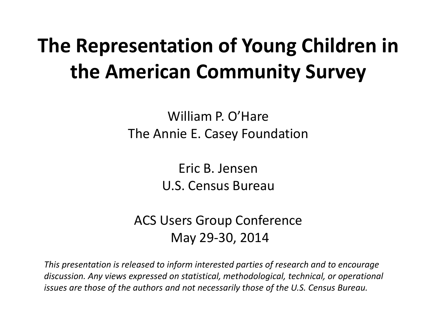### **The Representation of Young Children in the American Community Survey**

William P. O'Hare The Annie E. Casey Foundation

> Eric B. Jensen U.S. Census Bureau

ACS Users Group Conference May 29-30, 2014

*This presentation is released to inform interested parties of research and to encourage discussion. Any views expressed on statistical, methodological, technical, or operational issues are those of the authors and not necessarily those of the U.S. Census Bureau.*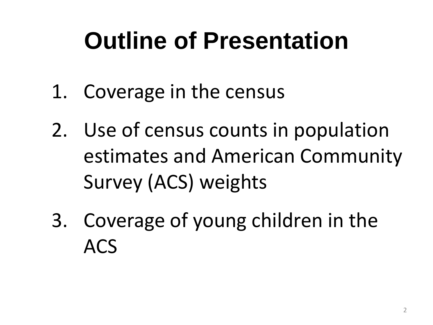## **Outline of Presentation**

- 1. Coverage in the census
- 2. Use of census counts in population estimates and American Community Survey (ACS) weights
- 3. Coverage of young children in the ACS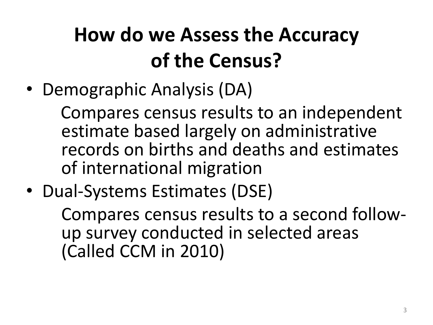## **How do we Assess the Accuracy of the Census?**

• Demographic Analysis (DA)

 Compares census results to an independent estimate based largely on administrative records on births and deaths and estimates of international migration

• Dual-Systems Estimates (DSE)

Compares census results to a second followup survey conducted in selected areas (Called CCM in 2010)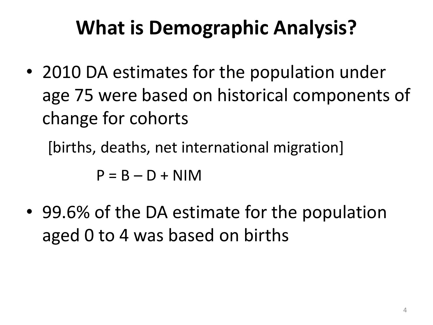### **What is Demographic Analysis?**

• 2010 DA estimates for the population under age 75 were based on historical components of change for cohorts

[births, deaths, net international migration]

 $P = B - D + NIM$ 

• 99.6% of the DA estimate for the population aged 0 to 4 was based on births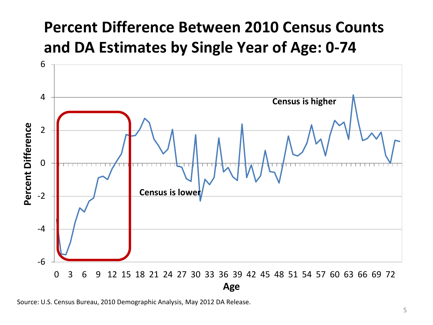### **Percent Difference Between 2010 Census Counts and DA Estimates by Single Year of Age: 0-74**



Source: U.S. Census Bureau, 2010 Demographic Analysis, May 2012 DA Release.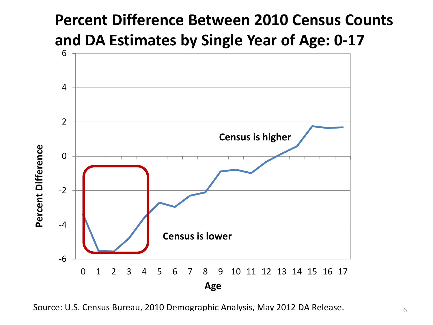### **Percent Difference Between 2010 Census Counts and DA Estimates by Single Year of Age: 0-17**



Source: U.S. Census Bureau, 2010 Demographic Analysis, May 2012 DA Release.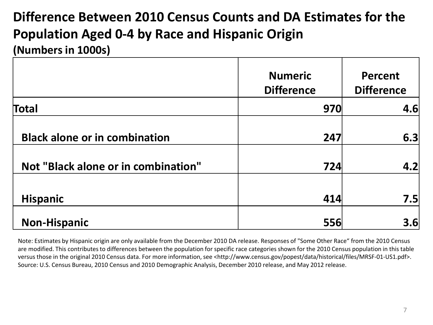#### **Difference Between 2010 Census Counts and DA Estimates for the Population Aged 0-4 by Race and Hispanic Origin (Numbers in 1000s)**

|                                      | <b>Numeric</b><br><b>Difference</b> | <b>Percent</b><br><b>Difference</b> |
|--------------------------------------|-------------------------------------|-------------------------------------|
| Total                                | 970                                 | 4.6                                 |
| <b>Black alone or in combination</b> | 247                                 | 6.3                                 |
| Not "Black alone or in combination"  | 724                                 | 4.2                                 |
| <b>Hispanic</b>                      | 414                                 | 7.5                                 |
| <b>Non-Hispanic</b>                  | 556                                 | 3.6                                 |

Note: Estimates by Hispanic origin are only available from the December 2010 DA release. Responses of "Some Other Race" from the 2010 Census are modified. This contributes to differences between the population for specific race categories shown for the 2010 Census population in this table versus those in the original 2010 Census data. For more information, see <http://www.census.gov/popest/data/historical/files/MRSF-01-US1.pdf>. Source: U.S. Census Bureau, 2010 Census and 2010 Demographic Analysis, December 2010 release, and May 2012 release.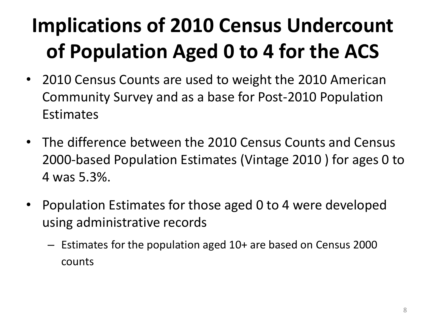## **Implications of 2010 Census Undercount of Population Aged 0 to 4 for the ACS**

- 2010 Census Counts are used to weight the 2010 American Community Survey and as a base for Post-2010 Population **Estimates**
- The difference between the 2010 Census Counts and Census 2000-based Population Estimates (Vintage 2010 ) for ages 0 to 4 was 5.3%.
- Population Estimates for those aged 0 to 4 were developed using administrative records
	- Estimates for the population aged 10+ are based on Census 2000 counts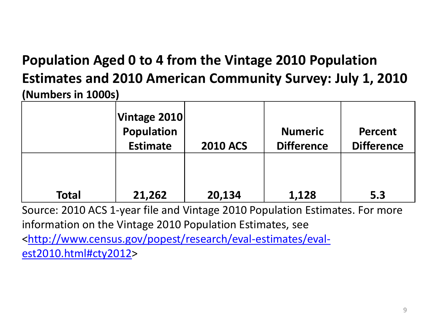#### **Population Aged 0 to 4 from the Vintage 2010 Population Estimates and 2010 American Community Survey: July 1, 2010 (Numbers in 1000s)**

|              | Vintage 2010<br>Population<br><b>Estimate</b> | <b>2010 ACS</b> | <b>Numeric</b><br><b>Difference</b> | <b>Percent</b><br><b>Difference</b> |
|--------------|-----------------------------------------------|-----------------|-------------------------------------|-------------------------------------|
| <b>Total</b> | 21,262                                        | 20,134          | 1,128                               | 5.3                                 |

Source: 2010 ACS 1-year file and Vintage 2010 Population Estimates. For more information on the Vintage 2010 Population Estimates, see <[http://www.census.gov/popest/research/eval-estimates/eval](http://www.census.gov/popest/research/eval-estimates/eval-est2010.html#cty2012)[est2010.html#cty2012](http://www.census.gov/popest/research/eval-estimates/eval-est2010.html#cty2012)>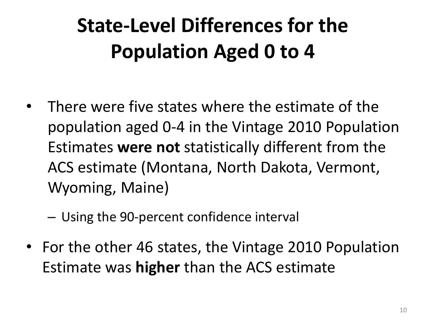## **State-Level Differences for the Population Aged 0 to 4**

There were five states where the estimate of the population aged 0-4 in the Vintage 2010 Population Estimates **were not** statistically different from the ACS estimate (Montana, North Dakota, Vermont, Wyoming, Maine)

– Using the 90-percent confidence interval

• For the other 46 states, the Vintage 2010 Population Estimate was **higher** than the ACS estimate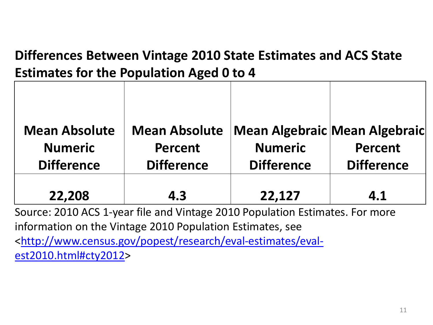#### **Differences Between Vintage 2010 State Estimates and ACS State Estimates for the Population Aged 0 to 4**

| <b>Mean Absolute</b> | <b>Mean Absolute</b> |                   | <b>Mean Algebraic Mean Algebraic</b> |
|----------------------|----------------------|-------------------|--------------------------------------|
| <b>Numeric</b>       | <b>Percent</b>       | <b>Numeric</b>    | <b>Percent</b>                       |
| <b>Difference</b>    | <b>Difference</b>    | <b>Difference</b> | <b>Difference</b>                    |
|                      |                      |                   |                                      |
| 22,208               | 4.3                  | 22,127            | 4.1                                  |

Source: 2010 ACS 1-year file and Vintage 2010 Population Estimates. For more information on the Vintage 2010 Population Estimates, see <[http://www.census.gov/popest/research/eval-estimates/eval](http://www.census.gov/popest/research/eval-estimates/eval-est2010.html#cty2012)[est2010.html#cty2012>](http://www.census.gov/popest/research/eval-estimates/eval-est2010.html#cty2012)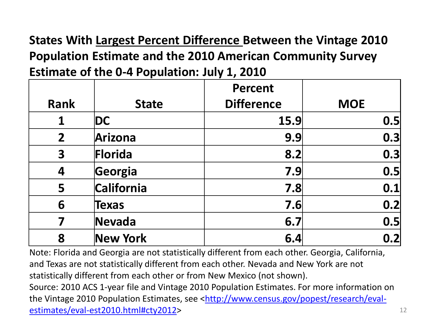**States With Largest Percent Difference Between the Vintage 2010 Population Estimate and the 2010 American Community Survey Estimate of the 0-4 Population: July 1, 2010**

|                         |                 | <b>Percent</b>    |            |
|-------------------------|-----------------|-------------------|------------|
| <b>Rank</b>             | <b>State</b>    | <b>Difference</b> | <b>MOE</b> |
| 1                       | DC              | 15.9              | 0.5        |
| $\overline{2}$          | Arizona         | 9.9               | 0.3        |
| $\overline{\mathbf{3}}$ | Florida         | 8.2               | 0.3        |
| 4                       | Georgia         | 7.9               | 0.5        |
| 5                       | California      | 7.8               | 0.1        |
| 6                       | <b>Texas</b>    | 7.6               | 0.2        |
| 7                       | Nevada          | 6.7               | 0.5        |
| 8                       | <b>New York</b> | 6.4               | 0.2        |

Note: Florida and Georgia are not statistically different from each other. Georgia, California, and Texas are not statistically different from each other. Nevada and New York are not statistically different from each other or from New Mexico (not shown).

Source: 2010 ACS 1-year file and Vintage 2010 Population Estimates. For more information on the Vintage 2010 Population Estimates, see <[http://www.census.gov/popest/research/eval](http://www.census.gov/popest/research/eval-estimates/eval-est2010.html#cty2012)[estimates/eval-est2010.html#cty2012>](http://www.census.gov/popest/research/eval-estimates/eval-est2010.html#cty2012) 12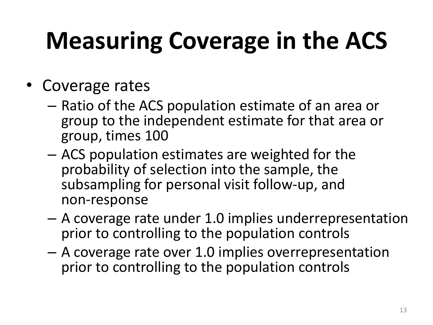# **Measuring Coverage in the ACS**

- Coverage rates
	- Ratio of the ACS population estimate of an area or group to the independent estimate for that area or group, times 100
	- ACS population estimates are weighted for the probability of selection into the sample, the subsampling for personal visit follow-up, and non-response
	- A coverage rate under 1.0 implies underrepresentation prior to controlling to the population controls
	- A coverage rate over 1.0 implies overrepresentation prior to controlling to the population controls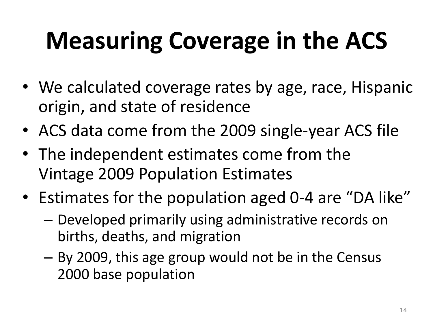# **Measuring Coverage in the ACS**

- We calculated coverage rates by age, race, Hispanic origin, and state of residence
- ACS data come from the 2009 single-year ACS file
- The independent estimates come from the Vintage 2009 Population Estimates
- Estimates for the population aged 0-4 are "DA like"
	- Developed primarily using administrative records on births, deaths, and migration
	- By 2009, this age group would not be in the Census 2000 base population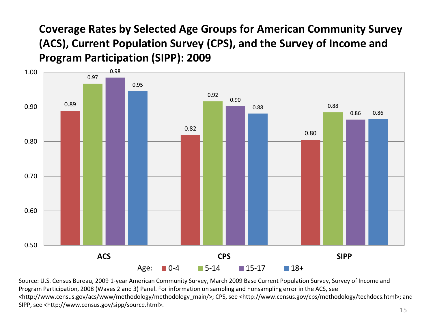**Coverage Rates by Selected Age Groups for American Community Survey (ACS), Current Population Survey (CPS), and the Survey of Income and Program Participation (SIPP): 2009**



Source: U.S. Census Bureau, 2009 1-year American Community Survey, March 2009 Base Current Population Survey, Survey of Income and Program Participation, 2008 (Waves 2 and 3) Panel. For information on sampling and nonsampling error in the ACS, see <http://www.census.gov/acs/www/methodology/methodology\_main/>; CPS, see <http://www.census.gov/cps/methodology/techdocs.html>; and SIPP, see <http://www.census.gov/sipp/source.html>.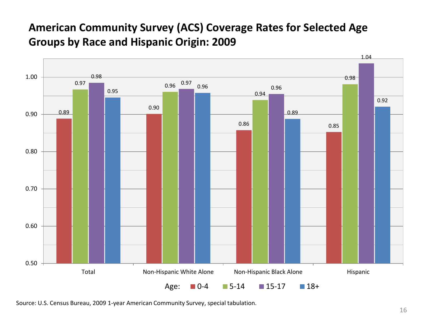#### **American Community Survey (ACS) Coverage Rates for Selected Age Groups by Race and Hispanic Origin: 2009**



Source: U.S. Census Bureau, 2009 1-year American Community Survey, special tabulation.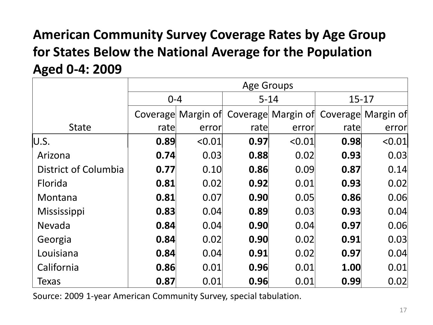#### **American Community Survey Coverage Rates by Age Group for States Below the National Average for the Population Aged 0-4: 2009**

|                      | <b>Age Groups</b> |                    |          |                                       |           |        |
|----------------------|-------------------|--------------------|----------|---------------------------------------|-----------|--------|
|                      | $0 - 4$           |                    | $5 - 14$ |                                       | $15 - 17$ |        |
|                      |                   | Coverage Margin of |          | Coverage Margin of Coverage Margin of |           |        |
| <b>State</b>         | rate              | error              | rate     | error                                 | rate      | error  |
| U.S.                 | 0.89              | < 0.01             | 0.97     | < 0.01                                | 0.98      | < 0.01 |
| Arizona              | 0.74              | 0.03               | 0.88     | 0.02                                  | 0.93      | 0.03   |
| District of Columbia | 0.77              | 0.10               | 0.86     | 0.09                                  | 0.87      | 0.14   |
| Florida              | 0.81              | 0.02               | 0.92     | 0.01                                  | 0.93      | 0.02   |
| Montana              | 0.81              | 0.07               | 0.90     | 0.05                                  | 0.86      | 0.06   |
| Mississippi          | 0.83              | 0.04               | 0.89     | 0.03                                  | 0.93      | 0.04   |
| Nevada               | 0.84              | 0.04               | 0.90     | 0.04                                  | 0.97      | 0.06   |
| Georgia              | 0.84              | 0.02               | 0.90     | 0.02                                  | 0.91      | 0.03   |
| Louisiana            | 0.84              | 0.04               | 0.91     | 0.02                                  | 0.97      | 0.04   |
| California           | 0.86              | 0.01               | 0.96     | 0.01                                  | 1.00      | 0.01   |
| Texas                | 0.87              | 0.01               | 0.96     | 0.01                                  | 0.99      | 0.02   |

Source: 2009 1-year American Community Survey, special tabulation.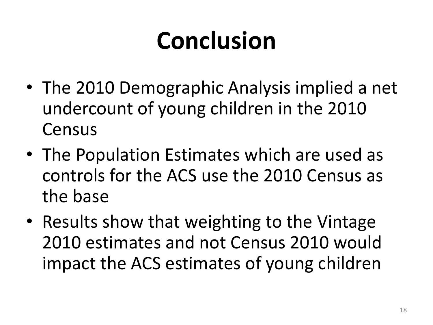# **Conclusion**

- The 2010 Demographic Analysis implied a net undercount of young children in the 2010 Census
- The Population Estimates which are used as controls for the ACS use the 2010 Census as the base
- Results show that weighting to the Vintage 2010 estimates and not Census 2010 would impact the ACS estimates of young children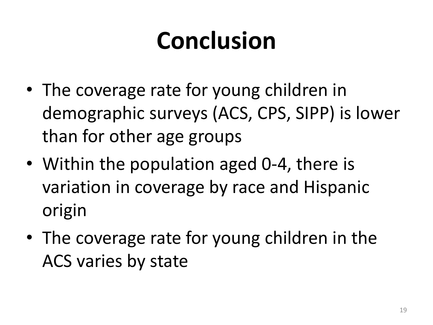# **Conclusion**

- The coverage rate for young children in demographic surveys (ACS, CPS, SIPP) is lower than for other age groups
- Within the population aged 0-4, there is variation in coverage by race and Hispanic origin
- The coverage rate for young children in the ACS varies by state